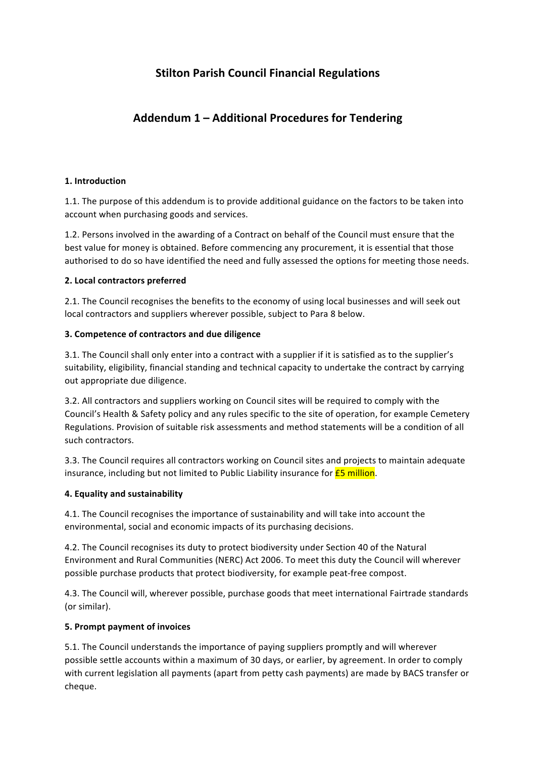# **Stilton Parish Council Financial Regulations**

# **Addendum 1 – Additional Procedures for Tendering**

### 1. Introduction

1.1. The purpose of this addendum is to provide additional guidance on the factors to be taken into account when purchasing goods and services.

1.2. Persons involved in the awarding of a Contract on behalf of the Council must ensure that the best value for money is obtained. Before commencing any procurement, it is essential that those authorised to do so have identified the need and fully assessed the options for meeting those needs.

#### **2. Local contractors preferred**

2.1. The Council recognises the benefits to the economy of using local businesses and will seek out local contractors and suppliers wherever possible, subject to Para 8 below.

#### **3. Competence of contractors and due diligence**

3.1. The Council shall only enter into a contract with a supplier if it is satisfied as to the supplier's suitability, eligibility, financial standing and technical capacity to undertake the contract by carrying out appropriate due diligence.

3.2. All contractors and suppliers working on Council sites will be required to comply with the Council's Health & Safety policy and any rules specific to the site of operation, for example Cemetery Regulations. Provision of suitable risk assessments and method statements will be a condition of all such contractors.

3.3. The Council requires all contractors working on Council sites and projects to maintain adequate insurance, including but not limited to Public Liability insurance for  $E$ 5 million.

## **4. Equality and sustainability**

4.1. The Council recognises the importance of sustainability and will take into account the environmental, social and economic impacts of its purchasing decisions.

4.2. The Council recognises its duty to protect biodiversity under Section 40 of the Natural Environment and Rural Communities (NERC) Act 2006. To meet this duty the Council will wherever possible purchase products that protect biodiversity, for example peat-free compost.

4.3. The Council will, wherever possible, purchase goods that meet international Fairtrade standards (or similar).

## **5. Prompt payment of invoices**

5.1. The Council understands the importance of paying suppliers promptly and will wherever possible settle accounts within a maximum of 30 days, or earlier, by agreement. In order to comply with current legislation all payments (apart from petty cash payments) are made by BACS transfer or cheque.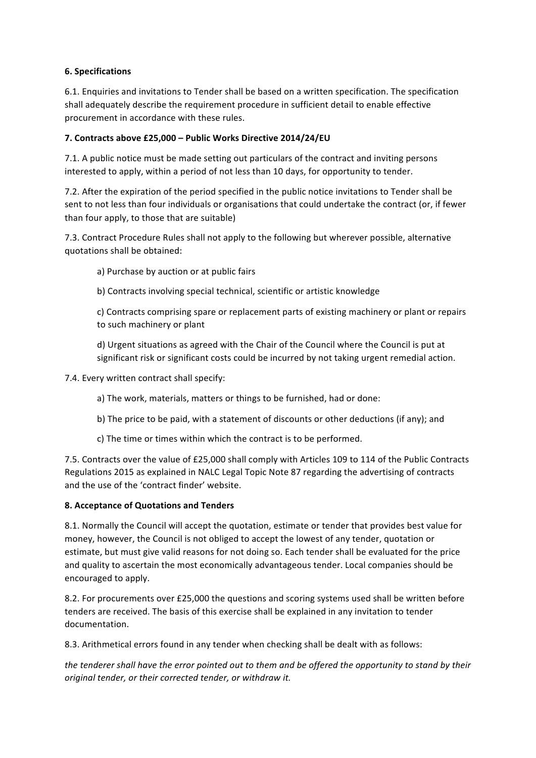## **6. Specifications**

6.1. Enquiries and invitations to Tender shall be based on a written specification. The specification shall adequately describe the requirement procedure in sufficient detail to enable effective procurement in accordance with these rules.

## **7. Contracts above £25,000 – Public Works Directive 2014/24/EU**

7.1. A public notice must be made setting out particulars of the contract and inviting persons interested to apply, within a period of not less than 10 days, for opportunity to tender.

7.2. After the expiration of the period specified in the public notice invitations to Tender shall be sent to not less than four individuals or organisations that could undertake the contract (or, if fewer than four apply, to those that are suitable)

7.3. Contract Procedure Rules shall not apply to the following but wherever possible, alternative quotations shall be obtained:

- a) Purchase by auction or at public fairs
- b) Contracts involving special technical, scientific or artistic knowledge

c) Contracts comprising spare or replacement parts of existing machinery or plant or repairs to such machinery or plant

d) Urgent situations as agreed with the Chair of the Council where the Council is put at significant risk or significant costs could be incurred by not taking urgent remedial action.

7.4. Every written contract shall specify:

a) The work, materials, matters or things to be furnished, had or done:

- b) The price to be paid, with a statement of discounts or other deductions (if any); and
- c) The time or times within which the contract is to be performed.

7.5. Contracts over the value of £25,000 shall comply with Articles 109 to 114 of the Public Contracts Regulations 2015 as explained in NALC Legal Topic Note 87 regarding the advertising of contracts and the use of the 'contract finder' website.

## **8. Acceptance of Quotations and Tenders**

8.1. Normally the Council will accept the quotation, estimate or tender that provides best value for money, however, the Council is not obliged to accept the lowest of any tender, quotation or estimate, but must give valid reasons for not doing so. Each tender shall be evaluated for the price and quality to ascertain the most economically advantageous tender. Local companies should be encouraged to apply.

8.2. For procurements over £25,000 the questions and scoring systems used shall be written before tenders are received. The basis of this exercise shall be explained in any invitation to tender documentation. 

8.3. Arithmetical errors found in any tender when checking shall be dealt with as follows:

the tenderer shall have the error pointed out to them and be offered the opportunity to stand by their *original tender, or their corrected tender, or withdraw it.*